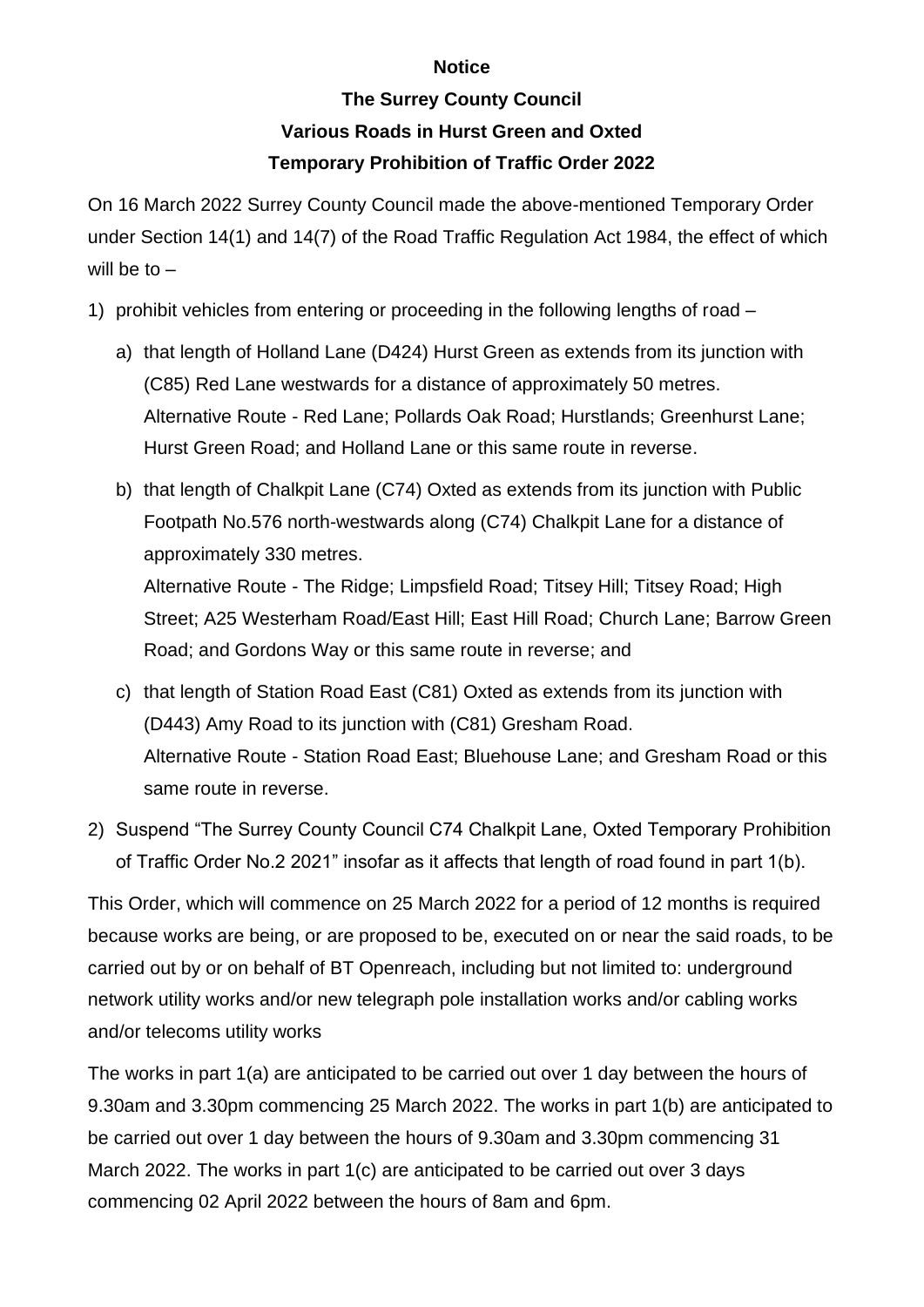## **Notice**

## **The Surrey County Council**

## **Various Roads in Hurst Green and Oxted**

## **Temporary Prohibition of Traffic Order 2022**

On 16 March 2022 Surrey County Council made the above-mentioned Temporary Order under Section 14(1) and 14(7) of the Road Traffic Regulation Act 1984, the effect of which will be to  $-$ 

- 1) prohibit vehicles from entering or proceeding in the following lengths of road
	- a) that length of Holland Lane (D424) Hurst Green as extends from its junction with (C85) Red Lane westwards for a distance of approximately 50 metres. Alternative Route - Red Lane; Pollards Oak Road; Hurstlands; Greenhurst Lane; Hurst Green Road; and Holland Lane or this same route in reverse.
	- b) that length of Chalkpit Lane (C74) Oxted as extends from its junction with Public Footpath No.576 north-westwards along (C74) Chalkpit Lane for a distance of approximately 330 metres. Alternative Route - The Ridge; Limpsfield Road; Titsey Hill; Titsey Road; High Street; A25 Westerham Road/East Hill; East Hill Road; Church Lane; Barrow Green Road; and Gordons Way or this same route in reverse; and
	- c) that length of Station Road East (C81) Oxted as extends from its junction with (D443) Amy Road to its junction with (C81) Gresham Road. Alternative Route - Station Road East; Bluehouse Lane; and Gresham Road or this same route in reverse.
- 2) Suspend "The Surrey County Council C74 Chalkpit Lane, Oxted Temporary Prohibition of Traffic Order No.2 2021" insofar as it affects that length of road found in part 1(b).

This Order, which will commence on 25 March 2022 for a period of 12 months is required because works are being, or are proposed to be, executed on or near the said roads, to be carried out by or on behalf of BT Openreach, including but not limited to: underground network utility works and/or new telegraph pole installation works and/or cabling works and/or telecoms utility works

The works in part 1(a) are anticipated to be carried out over 1 day between the hours of 9.30am and 3.30pm commencing 25 March 2022. The works in part 1(b) are anticipated to be carried out over 1 day between the hours of 9.30am and 3.30pm commencing 31 March 2022. The works in part 1(c) are anticipated to be carried out over 3 days commencing 02 April 2022 between the hours of 8am and 6pm.